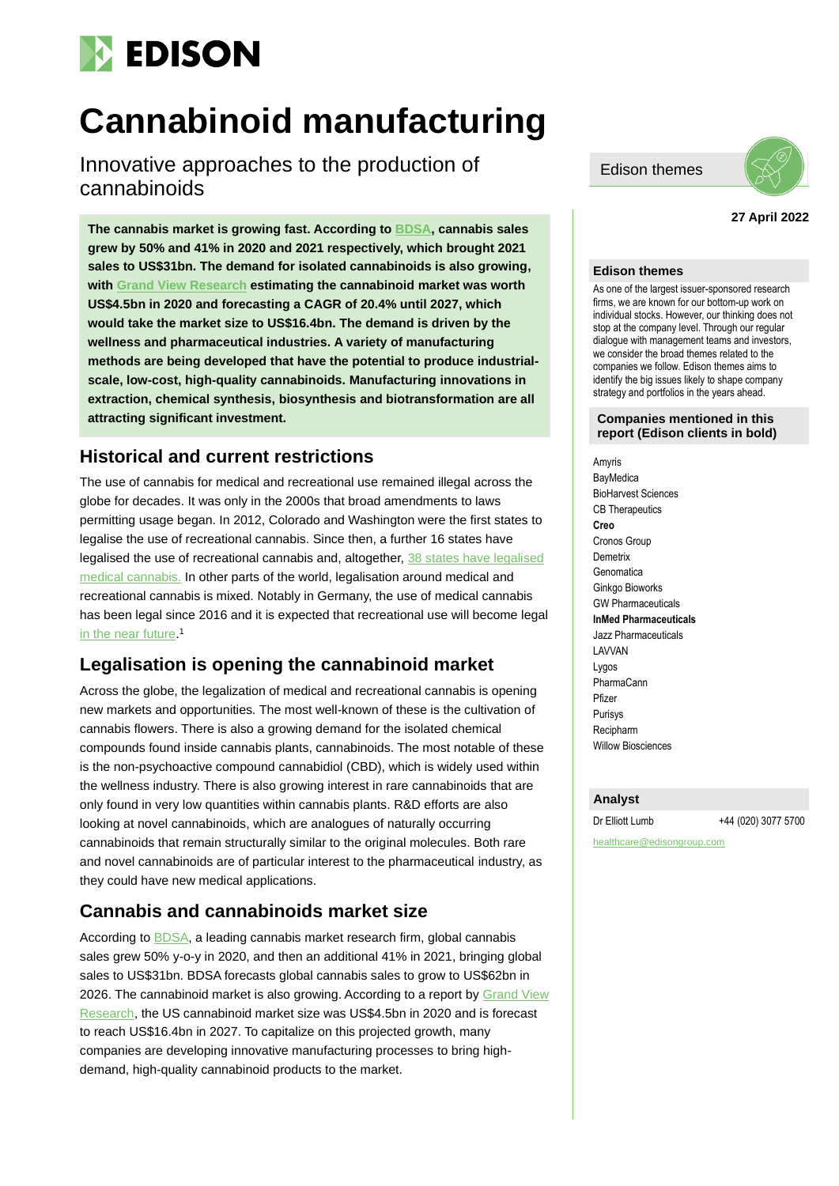

# **Cannabinoid manufacturing**

Innovative approaches to the production of cannabinoids

**The cannabis market is growing fast. According t[o BDSA,](https://www.globenewswire.com/news-release/2021/09/21/2300624/0/en/BDSA-Reports-Global-Cannabis-Sales-Surge-41-YoY-in-2021-Will-Surpass-62-Billion-by-2026.html) cannabis sales grew by 50% and 41% in 2020 and 2021 respectively, which brought 2021 sales to US\$31bn. The demand for isolated cannabinoids is also growing, with [Grand View Research](https://www.grandviewresearch.com/industry-analysis/us-cannabinoids-market) estimating the cannabinoid market was worth US\$4.5bn in 2020 and forecasting a CAGR of 20.4% until 2027, which would take the market size to US\$16.4bn. The demand is driven by the wellness and pharmaceutical industries. A variety of manufacturing methods are being developed that have the potential to produce industrialscale, low-cost, high-quality cannabinoids. Manufacturing innovations in extraction, chemical synthesis, biosynthesis and biotransformation are all attracting significant investment.** 

### **Historical and current restrictions**

The use of cannabis for medical and recreational use remained illegal across the globe for decades. It was only in the 2000s that broad amendments to laws permitting usage began. In 2012, Colorado and Washington were the first states to legalise the use of recreational cannabis. Since then, a further 16 states have legalised the use of recreational cannabis and, altogether, [38 states have legalised](https://www.businessinsider.com/legal-marijuana-states-2018-1?r=US&IR=T#alaska-1)  [medical cannabis.](https://www.businessinsider.com/legal-marijuana-states-2018-1?r=US&IR=T#alaska-1) In other parts of the world, legalisation around medical and recreational cannabis is mixed. Notably in Germany, the use of medical cannabis has been legal since 2016 and it is expected that recreational use will become legal [in the near future.](https://www.forbes.com/sites/ceciliarodriguez/2021/12/27/germany-moves-to-legalize-cannabis-second-country-after-malta-in-europe/)<sup>1</sup>

### **Legalisation is opening the cannabinoid market**

Across the globe, the legalization of medical and recreational cannabis is opening new markets and opportunities. The most well-known of these is the cultivation of cannabis flowers. There is also a growing demand for the isolated chemical compounds found inside cannabis plants, cannabinoids. The most notable of these is the non-psychoactive compound cannabidiol (CBD), which is widely used within the wellness industry. There is also growing interest in rare cannabinoids that are only found in very low quantities within cannabis plants. R&D efforts are also looking at novel cannabinoids, which are analogues of naturally occurring cannabinoids that remain structurally similar to the original molecules. Both rare and novel cannabinoids are of particular interest to the pharmaceutical industry, as they could have new medical applications.

### **Cannabis and cannabinoids market size**

According to [BDSA,](https://www.globenewswire.com/news-release/2021/09/21/2300624/0/en/BDSA-Reports-Global-Cannabis-Sales-Surge-41-YoY-in-2021-Will-Surpass-62-Billion-by-2026.html) a leading cannabis market research firm, global cannabis sales grew 50% y-o-y in 2020, and then an additional 41% in 2021, bringing global sales to US\$31bn. BDSA forecasts global cannabis sales to grow to US\$62bn in 2026. The cannabinoid market is also growing. According to a report by Grand View [Research,](https://www.grandviewresearch.com/industry-analysis/us-cannabinoids-market) the US cannabinoid market size was US\$4.5bn in 2020 and is forecast to reach US\$16.4bn in 2027. To capitalize on this projected growth, many companies are developing innovative manufacturing processes to bring highdemand, high-quality cannabinoid products to the market.

Edison themes



#### **27 April 2022**

#### **Edison themes**

As one of the largest issuer-sponsored research firms, we are known for our bottom-up work on individual stocks. However, our thinking does not stop at the company level. Through our regular dialogue with management teams and investors, we consider the broad themes related to the companies we follow. Edison themes aims to identify the big issues likely to shape company strategy and portfolios in the years ahead.

#### **Companies mentioned in this report (Edison clients in bold)**

Amyris **BayMedica** BioHarvest Sciences CB Therapeutics **Creo** Cronos Group **Demetrix Genomatica** Ginkgo Bioworks GW Pharmaceuticals **InMed Pharmaceuticals** Jazz Pharmaceuticals LAVVAN Lygos PharmaCann Pfizer Purisys Recipharm Willow Biosciences

#### **Analyst**

Dr Elliott Lumb +44 (020) 3077 5700

healthcare@edisongroup.com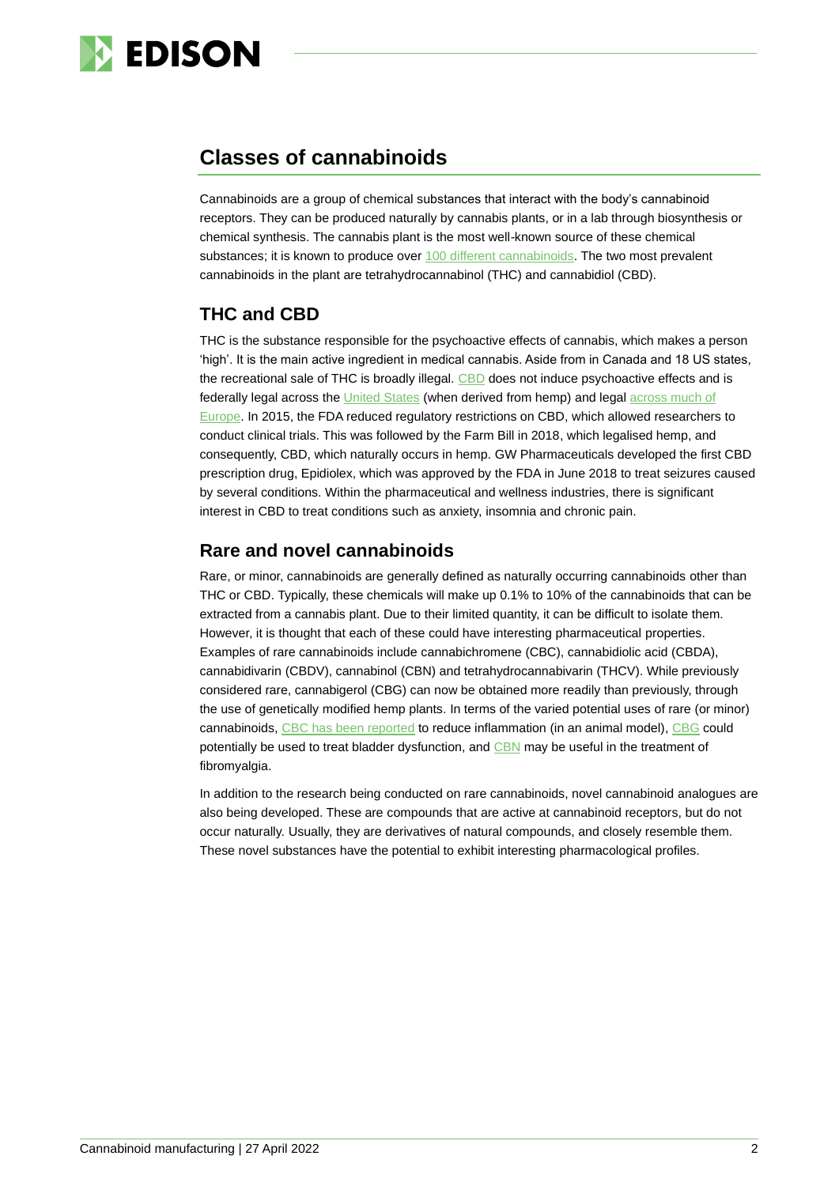

# **Classes of cannabinoids**

Cannabinoids are a group of chemical substances that interact with the body's cannabinoid receptors. They can be produced naturally by cannabis plants, or in a lab through biosynthesis or chemical synthesis. The cannabis plant is the most well-known source of these chemical substances; it is known to produce over [100 different cannabinoids.](https://www.ncbi.nlm.nih.gov/pmc/articles/PMC8156804/) The two most prevalent cannabinoids in the plant are tetrahydrocannabinol (THC) and cannabidiol (CBD).

## **THC and CBD**

THC is the substance responsible for the psychoactive effects of cannabis, which makes a person 'high'. It is the main active ingredient in medical cannabis. Aside from in Canada and 18 US states, the recreational sale of THC is broadly illegal. [CBD](https://www.health.harvard.edu/blog/cannabidiol-cbd-what-we-know-and-what-we-dont-2018082414476) does not induce psychoactive effects and is federally legal across the [United States](https://www.findlaw.com/criminal/criminal-law-basics/is-cannabis-oil-legal.html) (when derived from hemp) and legal [across much of](https://www.visualcapitalist.com/european-cbd-landscape-in-2020/)  [Europe.](https://www.visualcapitalist.com/european-cbd-landscape-in-2020/) In 2015, the FDA reduced regulatory restrictions on CBD, which allowed researchers to conduct clinical trials. This was followed by the Farm Bill in 2018, which legalised hemp, and consequently, CBD, which naturally occurs in hemp. GW Pharmaceuticals developed the first CBD prescription drug, Epidiolex, which was approved by the FDA in June 2018 to treat seizures caused by several conditions. Within the pharmaceutical and wellness industries, there is significant interest in CBD to treat conditions such as anxiety, insomnia and chronic pain.

### **Rare and novel cannabinoids**

Rare, or minor, cannabinoids are generally defined as naturally occurring cannabinoids other than THC or CBD. Typically, these chemicals will make up 0.1% to 10% of the cannabinoids that can be extracted from a cannabis plant. Due to their limited quantity, it can be difficult to isolate them. However, it is thought that each of these could have interesting pharmaceutical properties. Examples of rare cannabinoids include cannabichromene (CBC), cannabidiolic acid (CBDA), cannabidivarin (CBDV), cannabinol (CBN) and tetrahydrocannabivarin (THCV). While previously considered rare, cannabigerol (CBG) can now be obtained more readily than previously, through the use of genetically modified hemp plants. In terms of the varied potential uses of rare (or minor) cannabinoids, [CBC has been](https://www.ncbi.nlm.nih.gov/pmc/articles/PMC3417459/) reported to reduce inflammation (in an animal model), [CBG](https://pubmed.ncbi.nlm.nih.gov/26197538/) could potentially be used to treat bladder dysfunction, and [CBN](https://www.sciencedirect.com/science/article/abs/pii/S0003996919302249?via%3Dihub) may be useful in the treatment of fibromyalgia.

In addition to the research being conducted on rare cannabinoids, novel cannabinoid analogues are also being developed. These are compounds that are active at cannabinoid receptors, but do not occur naturally. Usually, they are derivatives of natural compounds, and closely resemble them. These novel substances have the potential to exhibit interesting pharmacological profiles.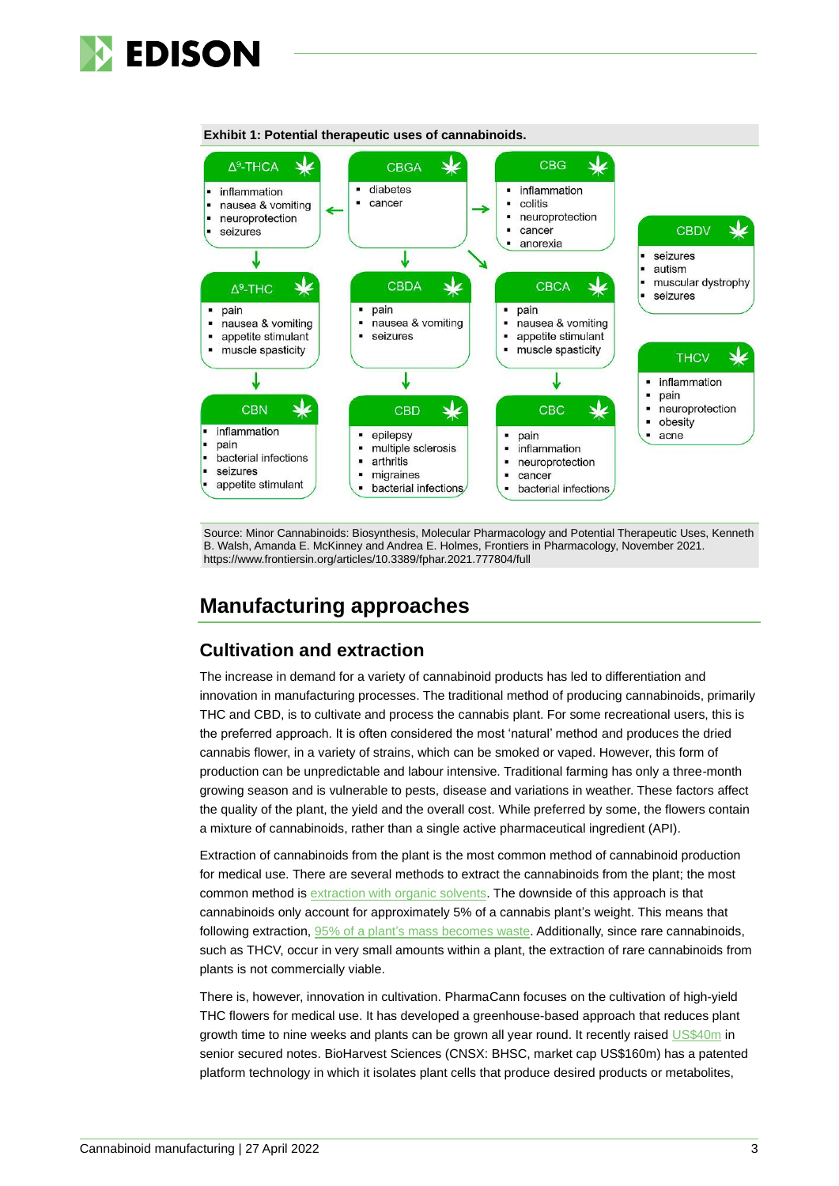



#### **Exhibit 1: Potential therapeutic uses of cannabinoids.**

Source: Minor Cannabinoids: Biosynthesis, Molecular Pharmacology and Potential Therapeutic Uses, Kenneth B. Walsh, Amanda E. McKinney and Andrea E. Holmes, Frontiers in Pharmacology, November 2021. https://www.frontiersin.org/articles/10.3389/fphar.2021.777804/full

# **Manufacturing approaches**

#### **Cultivation and extraction**

The increase in demand for a variety of cannabinoid products has led to differentiation and innovation in manufacturing processes. The traditional method of producing cannabinoids, primarily THC and CBD, is to cultivate and process the cannabis plant. For some recreational users, this is the preferred approach. It is often considered the most 'natural' method and produces the dried cannabis flower, in a variety of strains, which can be smoked or vaped. However, this form of production can be unpredictable and labour intensive. Traditional farming has only a three-month growing season and is vulnerable to pests, disease and variations in weather. These factors affect the quality of the plant, the yield and the overall cost. While preferred by some, the flowers contain a mixture of cannabinoids, rather than a single active pharmaceutical ingredient (API).

Extraction of cannabinoids from the plant is the most common method of cannabinoid production for medical use. There are several methods to extract the cannabinoids from the plant; the most common method is [extraction with organic solvents.](https://jcannabisresearch.biomedcentral.com/articles/10.1186/s42238-021-00087-9) The downside of this approach is that cannabinoids only account for approximately 5% of a cannabis plant's weight. This means that following extraction, [95% of a plant's mass becomes waste.](https://renewbiopharma.com/wp-content/uploads/2020/10/Raymond-James-Biosynthesis.pdf) Additionally, since rare cannabinoids, such as THCV, occur in very small amounts within a plant, the extraction of rare cannabinoids from plants is not commercially viable.

There is, however, innovation in cultivation. PharmaCann focuses on the cultivation of high-yield THC flowers for medical use. It has developed a greenhouse-based approach that reduces plant growth time to nine weeks and plants can be grown all year round. It recently raised [US\\$40m](https://www.newcannabisventures.com/pharmacann-raises-39-5-million-selling-additional-12-senior-secured-notes/) in senior secured notes. BioHarvest Sciences (CNSX: BHSC, market cap US\$160m) has a patented platform technology in which it isolates plant cells that produce desired products or metabolites,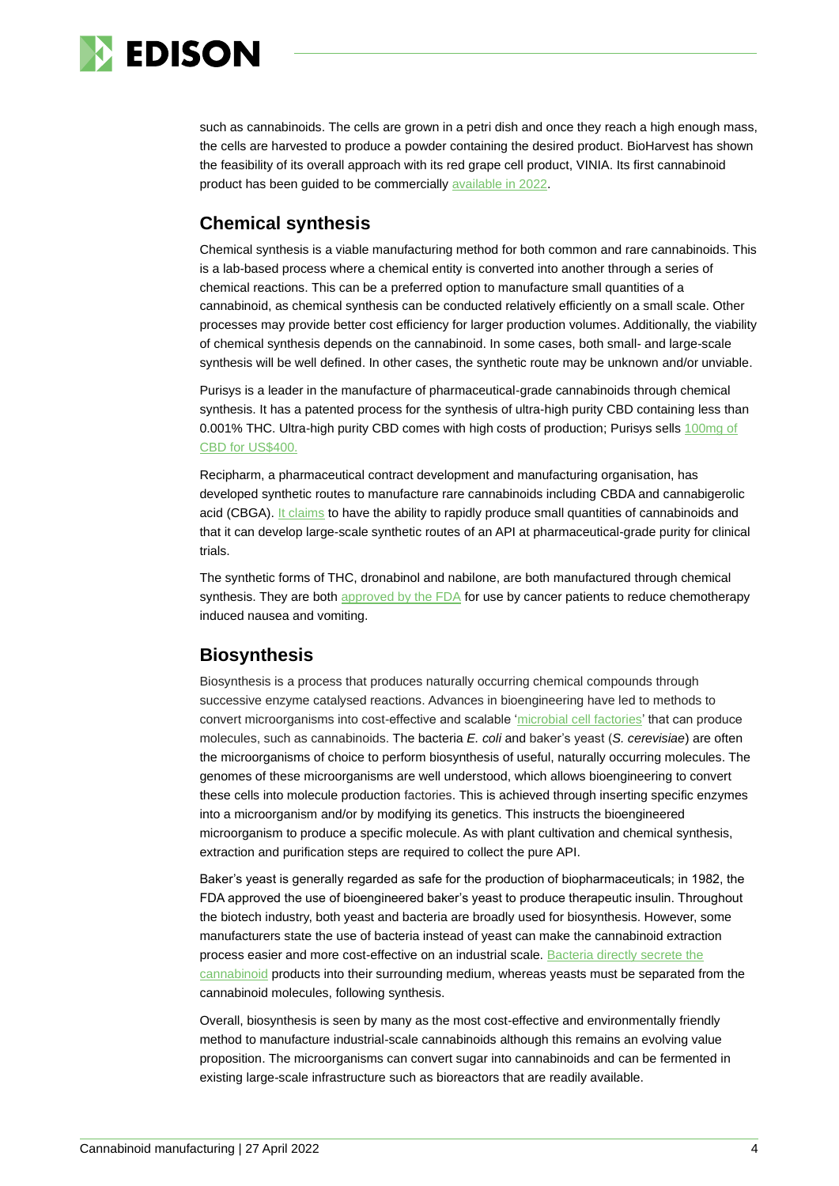

such as cannabinoids. The cells are grown in a petri dish and once they reach a high enough mass, the cells are harvested to produce a powder containing the desired product. BioHarvest has shown the feasibility of its overall approach with its red grape cell product, VINIA. Its first cannabinoid product has been guided to be commercially [available in 2022.](https://www.proactiveinvestors.co.uk/companies/news/951718/bioharvest-sciences-expects-to-commercialize-its-first-cannabis-based-products-in-first-half-of-2022-951718.html)

### **Chemical synthesis**

Chemical synthesis is a viable manufacturing method for both common and rare cannabinoids. This is a lab-based process where a chemical entity is converted into another through a series of chemical reactions. This can be a preferred option to manufacture small quantities of a cannabinoid, as chemical synthesis can be conducted relatively efficiently on a small scale. Other processes may provide better cost efficiency for larger production volumes. Additionally, the viability of chemical synthesis depends on the cannabinoid. In some cases, both small- and large-scale synthesis will be well defined. In other cases, the synthetic route may be unknown and/or unviable.

Purisys is a leader in the manufacture of pharmaceutical-grade cannabinoids through chemical synthesis. It has a patented process for the synthesis of ultra-high purity CBD containing less than 0.001% THC. Ultra-high purity CBD comes with high costs of production; Purisys sells 100mg of [CBD for US\\$400.](https://purisys.com/product/minus-cannabidiol/)

Recipharm, a pharmaceutical contract development and manufacturing organisation, has developed synthetic routes to manufacture rare cannabinoids including CBDA and cannabigerolic acid (CBGA). [It claims](https://www.recipharm.com/resources/recipharm-cannabinoids) to have the ability to rapidly produce small quantities of cannabinoids and that it can develop large-scale synthetic routes of an API at pharmaceutical-grade purity for clinical trials.

The synthetic forms of THC, dronabinol and nabilone, are both manufactured through chemical synthesis. They are both approved by the  $FDA$  for use by cancer patients to reduce chemotherapy induced nausea and vomiting.

### **Biosynthesis**

Biosynthesis is a process that produces naturally occurring chemical compounds through successive enzyme catalysed reactions. Advances in bioengineering have led to methods to convert microorganisms into cost-effective and scalable ['microbial cell factories'](https://www.sciencedirect.com/science/article/pii/B9780128214770000210) that can produce molecules, such as cannabinoids. The bacteria *E. coli* and baker's yeast (*S. cerevisiae*) are often the microorganisms of choice to perform biosynthesis of useful, naturally occurring molecules. The genomes of these microorganisms are well understood, which allows bioengineering to convert these cells into molecule production factories. This is achieved through inserting specific enzymes into a microorganism and/or by modifying its genetics. This instructs the bioengineered microorganism to produce a specific molecule. As with plant cultivation and chemical synthesis, extraction and purification steps are required to collect the pure API.

Baker's yeast is generally regarded as safe for the production of biopharmaceuticals; in 1982, the FDA approved the use of bioengineered baker's yeast to produce therapeutic insulin. Throughout the biotech industry, both yeast and bacteria are broadly used for biosynthesis. However, some manufacturers state the use of bacteria instead of yeast can make the cannabinoid extraction process easier and more cost-effective on an industrial scale. [Bacteria directly secrete the](https://theplosblog.plos.org/2019/05/microbial-production-of-cannabinoids/)  [cannabinoid](https://theplosblog.plos.org/2019/05/microbial-production-of-cannabinoids/) products into their surrounding medium, whereas yeasts must be separated from the cannabinoid molecules, following synthesis.

Overall, biosynthesis is seen by many as the most cost-effective and environmentally friendly method to manufacture industrial-scale cannabinoids although this remains an evolving value proposition. The microorganisms can convert sugar into cannabinoids and can be fermented in existing large-scale infrastructure such as bioreactors that are readily available.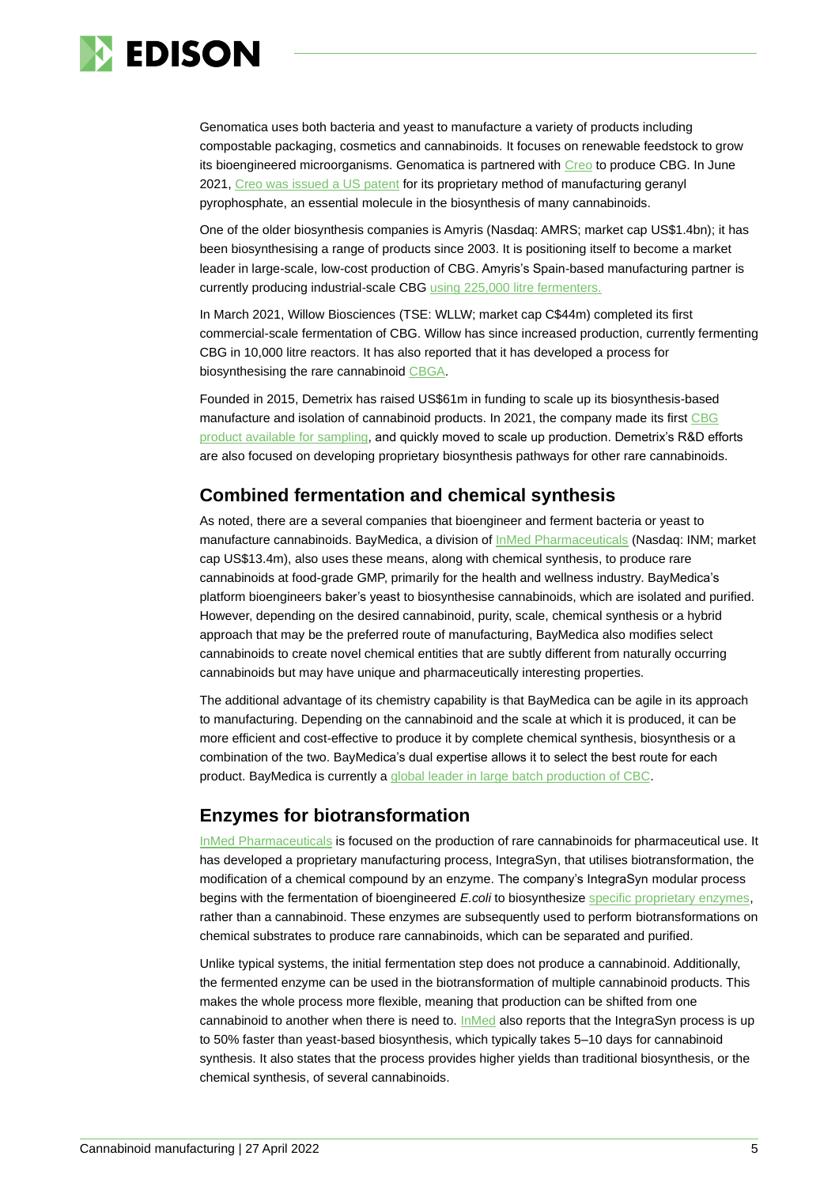

Genomatica uses both bacteria and yeast to manufacture a variety of products including compostable packaging, cosmetics and cannabinoids. It focuses on renewable feedstock to grow its bioengineered microorganisms. Genomatica is partnered with [Creo](https://www.edisongroup.com/company/creo-medical/) to produce CBG. In June 2021, Creo was [issued a US patent](https://www.globenewswire.com/news-release/2021/06/30/2255729/0/en/Creo-granted-foundational-patent-for-production-of-cannabinoids.html) for its proprietary method of manufacturing geranyl pyrophosphate, an essential molecule in the biosynthesis of many cannabinoids.

One of the older biosynthesis companies is Amyris (Nasdaq: AMRS; market cap US\$1.4bn); it has been biosynthesising a range of products since 2003. It is positioning itself to become a market leader in large-scale, low-cost production of CBG. Amyris's Spain-based manufacturing partner is currently producing industrial-scale CBG using [225,000 litre fermenters.](https://www.prnewswire.com/news-releases/amyris-delivers-record-production-of-cbg-for-consumer-skincare-formulations-301255885.html)

In March 2021, Willow Biosciences (TSE: WLLW; market cap C\$44m) completed its first commercial-scale fermentation of CBG. Willow has since increased production, currently fermenting CBG in 10,000 litre reactors. It has also reported that it has developed a process for biosynthesising the rare cannabinoid [CBGA.](https://www.willowbio.com/press-releases/2021-09-21-willow-biosciences-announces-commercial-scale-operational-update-cbga-production-update-and-corporate-update/)

Founded in 2015, Demetrix has raised US\$61m in funding to scale up its biosynthesis-based manufacture and isolation of cannabinoid products. In 2021, the company made its firs[t CBG](https://demetrix.com/2021-review-2022-goals/)  [product available for](https://demetrix.com/2021-review-2022-goals/) sampling, and quickly moved to scale up production. Demetrix's R&D efforts are also focused on developing proprietary biosynthesis pathways for other rare cannabinoids.

### **Combined fermentation and chemical synthesis**

As noted, there are a several companies that bioengineer and ferment bacteria or yeast to manufacture cannabinoids. BayMedica, a division of **InMed Pharmaceuticals** (Nasdaq: INM; market cap US\$13.4m), also uses these means, along with chemical synthesis, to produce rare cannabinoids at food-grade GMP, primarily for the health and wellness industry. BayMedica's platform bioengineers baker's yeast to biosynthesise cannabinoids, which are isolated and purified. However, depending on the desired cannabinoid, purity, scale, chemical synthesis or a hybrid approach that may be the preferred route of manufacturing, BayMedica also modifies select cannabinoids to create novel chemical entities that are subtly different from naturally occurring cannabinoids but may have unique and pharmaceutically interesting properties.

The additional advantage of its chemistry capability is that BayMedica can be agile in its approach to manufacturing. Depending on the cannabinoid and the scale at which it is produced, it can be more efficient and cost-effective to produce it by complete chemical synthesis, biosynthesis or a combination of the two. BayMedica's dual expertise allows it to select the best route for each product. BayMedica is currently a [global leader in large batch production of CBC.](https://www.edisongroup.com/publication/acquiring-baymedica/29950/)

### **Enzymes for biotransformation**

[InMed Pharmaceuticals](https://www.edisongroup.com/company/inmed-pharmaceuticals/) is focused on the production of rare cannabinoids for pharmaceutical use. It has developed a proprietary manufacturing process, IntegraSyn, that utilises biotransformation, the modification of a chemical compound by an enzyme. The company's IntegraSyn modular process begins with the fermentation of bioengineered *E.coli* to biosynthesize [specific proprietary enzymes,](https://www.inmedpharma.com/manufacturing/integrasyn-cannabinoid-manufacturing/) rather than a cannabinoid. These enzymes are subsequently used to perform biotransformations on chemical substrates to produce rare cannabinoids, which can be separated and purified.

Unlike typical systems, the initial fermentation step does not produce a cannabinoid. Additionally, the fermented enzyme can be used in the biotransformation of multiple cannabinoid products. This makes the whole process more flexible, meaning that production can be shifted from one cannabinoid to another when there is need to. [InMed](https://www.edisongroup.com/company/inmed-pharmaceuticals/) also reports that the IntegraSyn process is up to 50% faster than yeast-based biosynthesis, which typically takes 5–10 days for cannabinoid synthesis. It also states that the process provides higher yields than traditional biosynthesis, or the chemical synthesis, of several cannabinoids.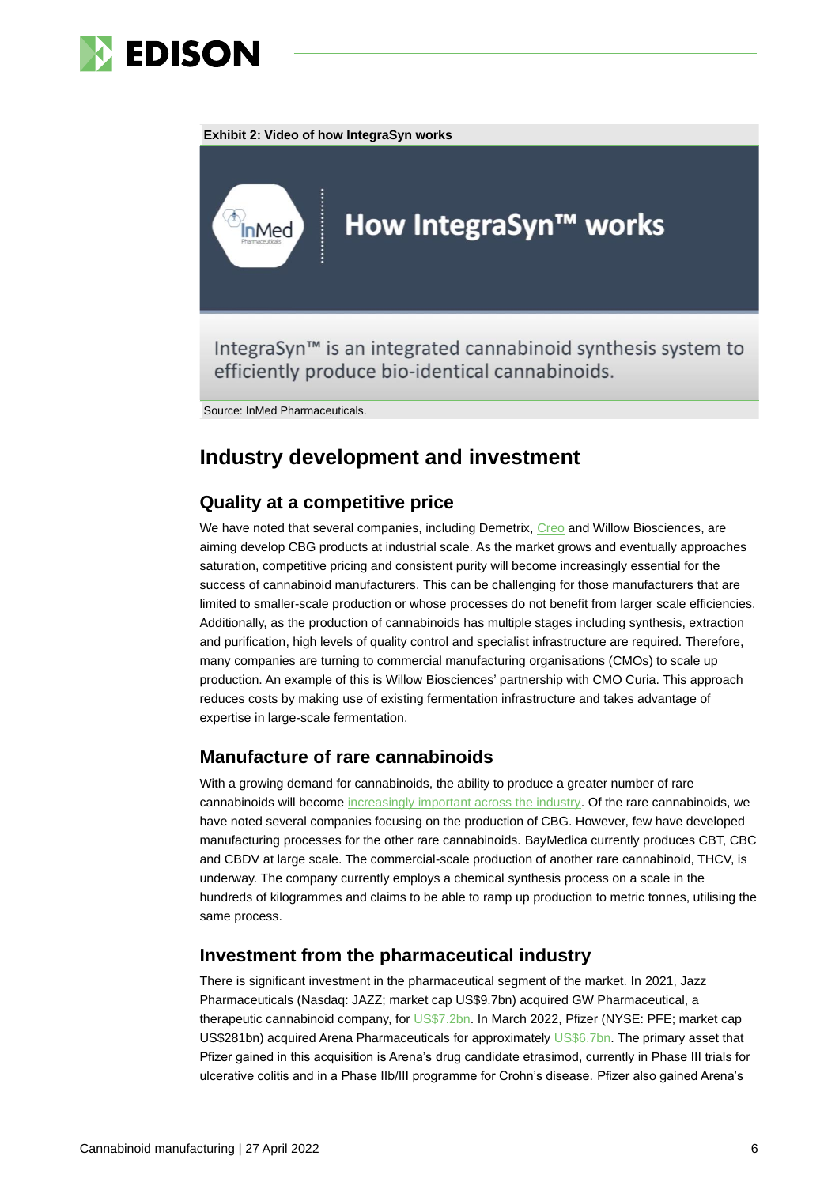

#### **Exhibit 2: Video of how IntegraSyn works**



IntegraSyn<sup>™</sup> is an integrated cannabinoid synthesis system to efficiently produce bio-identical cannabinoids.

Source: InMed Pharmaceuticals.

# **Industry development and investment**

### **Quality at a competitive price**

We have noted that several companies, including Demetrix, [Creo](https://www.edisongroup.com/company/creo-medical/) and Willow Biosciences, are aiming develop CBG products at industrial scale. As the market grows and eventually approaches saturation, competitive pricing and consistent purity will become increasingly essential for the success of cannabinoid manufacturers. This can be challenging for those manufacturers that are limited to smaller-scale production or whose processes do not benefit from larger scale efficiencies. Additionally, as the production of cannabinoids has multiple stages including synthesis, extraction and purification, high levels of quality control and specialist infrastructure are required. Therefore, many companies are turning to commercial manufacturing organisations (CMOs) to scale up production. An example of this is Willow Biosciences' partnership with CMO Curia. This approach reduces costs by making use of existing fermentation infrastructure and takes advantage of expertise in large-scale fermentation.

### **Manufacture of rare cannabinoids**

With a growing demand for cannabinoids, the ability to produce a greater number of rare cannabinoids will become [increasingly important across the industry.](https://cannabisindustryjournal.com/column/how-rare-cannabinoids-will-impact-investing/) Of the rare cannabinoids, we have noted several companies focusing on the production of CBG. However, few have developed manufacturing processes for the other rare cannabinoids. BayMedica currently produces CBT, CBC and CBDV at large scale. The commercial-scale production of another rare cannabinoid, THCV, is underway. The company currently employs a chemical synthesis process on a scale in the hundreds of kilogrammes and claims to be able to ramp up production to metric tonnes, utilising the same process.

### **Investment from the pharmaceutical industry**

There is significant investment in the pharmaceutical segment of the market. In 2021, Jazz Pharmaceuticals (Nasdaq: JAZZ; market cap US\$9.7bn) acquired GW Pharmaceutical, a therapeutic cannabinoid company, fo[r US\\$7.2bn.](https://investor.jazzpharma.com/news-releases/news-release-details/jazz-pharmaceuticals-acquire-gw-pharmaceuticals-plc-creating) In March 2022, Pfizer (NYSE: PFE; market cap US\$281bn) acquired Arena Pharmaceuticals for approximately [US\\$6.7bn.](https://www.pfizer.com/news/press-release/press-release-detail/pfizer-completes-acquisition-arena-pharmaceuticals) The primary asset that Pfizer gained in this acquisition is Arena's drug candidate etrasimod, currently in Phase III trials for ulcerative colitis and in a Phase IIb/III programme for Crohn's disease. Pfizer also gained Arena's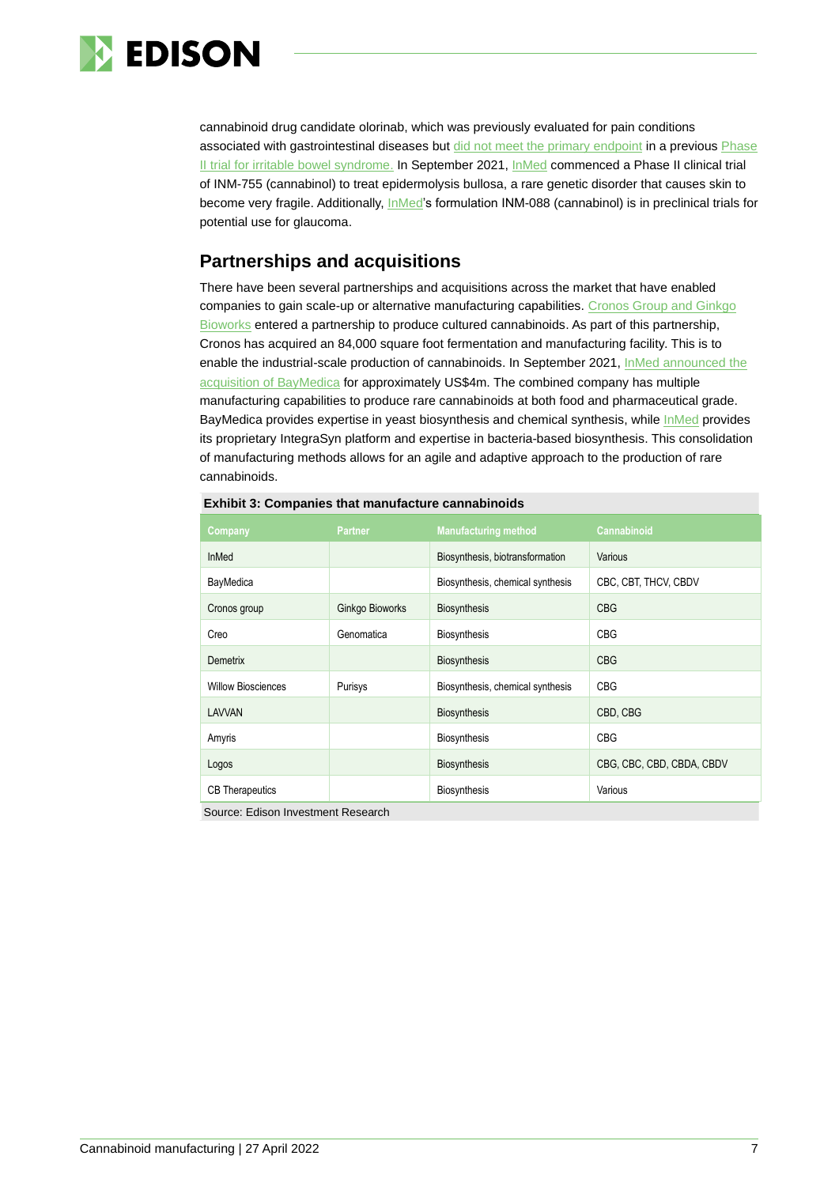

cannabinoid drug candidate olorinab, which was previously evaluated for pain conditions associated with gastrointestinal diseases but [did not meet the primary endpoint](https://www.businesswire.com/news/home/20210302006098/en/Arena-Pharmaceuticals-Reports-Topline-Results-from-Phase-2b-CAPTIVATE-Clinical-Trial) in a previous Phase [II trial](https://clinicaltrials.gov/ct2/show/NCT04043455) for irritable bowel syndrome. In September 2021, [InMed](https://www.edisongroup.com/company/inmed-pharmaceuticals/) commenced a Phase II clinical trial of INM-755 (cannabinol) to treat epidermolysis bullosa, a rare genetic disorder that causes skin to become very fragile. Additionally, [InMed'](https://www.edisongroup.com/company/inmed-pharmaceuticals/)s formulation INM-088 (cannabinol) is in preclinical trials for potential use for glaucoma.

### **Partnerships and acquisitions**

There have been several partnerships and acquisitions across the market that have enabled companies to gain scale-up or alternative manufacturing capabilities. Cronos Group and Ginkgo [Bioworks](https://www.ginkgobioworks.com/our-work/producing-cultured-cannabinoids/) entered a partnership to produce cultured cannabinoids. As part of this partnership, Cronos has acquired an 84,000 square foot fermentation and manufacturing facility. This is to enable the industrial-scale production of cannabinoids. In September 2021, InMed announced the [acquisition of BayMedica](https://www.globenewswire.com/news-release/2021/10/13/2313832/36215/en/InMed-Pharmaceuticals-Completes-Acquisition-of-BayMedica-Creating-a-Market-Leader-in-the-Manufacturing-of-Rare-Cannabinoids.html) for approximately US\$4m. The combined company has multiple manufacturing capabilities to produce rare cannabinoids at both food and pharmaceutical grade. BayMedica provides expertise in yeast biosynthesis and chemical synthesis, while [InMed](https://www.edisongroup.com/company/inmed-pharmaceuticals/) provides its proprietary IntegraSyn platform and expertise in bacteria-based biosynthesis. This consolidation of manufacturing methods allows for an agile and adaptive approach to the production of rare cannabinoids.

| Company                   | <b>Partner</b>  | <b>Manufacturing method</b>      | Cannabinoid               |
|---------------------------|-----------------|----------------------------------|---------------------------|
| <b>InMed</b>              |                 | Biosynthesis, biotransformation  | Various                   |
| BayMedica                 |                 | Biosynthesis, chemical synthesis | CBC, CBT, THCV, CBDV      |
| Cronos group              | Ginkgo Bioworks | <b>Biosynthesis</b>              | <b>CBG</b>                |
| Creo                      | Genomatica      | <b>Biosynthesis</b>              | <b>CBG</b>                |
| Demetrix                  |                 | <b>Biosynthesis</b>              | <b>CBG</b>                |
| <b>Willow Biosciences</b> | Purisys         | Biosynthesis, chemical synthesis | <b>CBG</b>                |
| LAVVAN                    |                 | <b>Biosynthesis</b>              | CBD, CBG                  |
| Amyris                    |                 | <b>Biosynthesis</b>              | <b>CBG</b>                |
| Logos                     |                 | <b>Biosynthesis</b>              | CBG, CBC, CBD, CBDA, CBDV |
| <b>CB</b> Therapeutics    |                 | <b>Biosynthesis</b>              | Various                   |

| <b>Exhibit 3: Companies that manufacture cannabinoids</b> |  |
|-----------------------------------------------------------|--|
|                                                           |  |

Source: Edison Investment Research